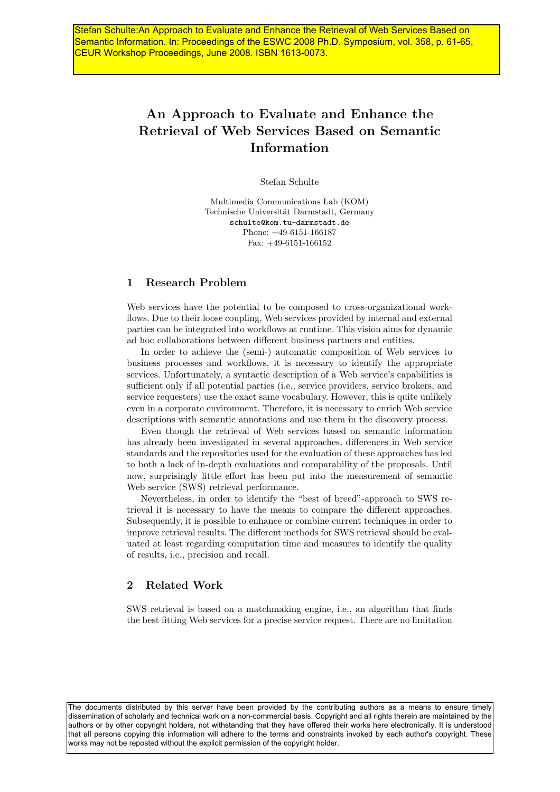# An Approach to Evaluate and Enhance the Retrieval of Web Services Based on Semantic Information

Stefan Schulte

Multimedia Communications Lab (KOM) Technische Universität Darmstadt, Germany schulte@kom.tu-darmstadt.de Phone: +49-6151-166187 Fax: +49-6151-166152

## 1 Research Problem

Web services have the potential to be composed to cross-organizational workflows. Due to their loose coupling, Web services provided by internal and external parties can be integrated into workflows at runtime. This vision aims for dynamic ad hoc collaborations between different business partners and entities.

In order to achieve the (semi-) automatic composition of Web services to business processes and workflows, it is necessary to identify the appropriate services. Unfortunately, a syntactic description of a Web service's capabilities is sufficient only if all potential parties (i.e., service providers, service brokers, and service requesters) use the exact same vocabulary. However, this is quite unlikely even in a corporate environment. Therefore, it is necessary to enrich Web service descriptions with semantic annotations and use them in the discovery process.

Even though the retrieval of Web services based on semantic information has already been investigated in several approaches, differences in Web service standards and the repositories used for the evaluation of these approaches has led to both a lack of in-depth evaluations and comparability of the proposals. Until now, surprisingly little effort has been put into the measurement of semantic Web service (SWS) retrieval performance.

Nevertheless, in order to identify the "best of breed"-approach to SWS retrieval it is necessary to have the means to compare the different approaches. Subsequently, it is possible to enhance or combine current techniques in order to improve retrieval results. The different methods for SWS retrieval should be evaluated at least regarding computation time and measures to identify the quality of results, i.e., precision and recall.

## 2 Related Work

SWS retrieval is based on a matchmaking engine, i.e., an algorithm that finds the best fitting Web services for a precise service request. There are no limitation

The documents distributed by this server have been provided by the contributing authors as a means to ensure timely dissemination of scholarly and technical work on a non-commercial basis. Copyright and all rights therein are maintained by the authors or by other copyright holders, not withstanding that they have offered their works here electronically. It is understood that all persons copying this information will adhere to the terms and constraints invoked by each author's copyright. These works may not be reposted without the explicit permission of the copyright holder.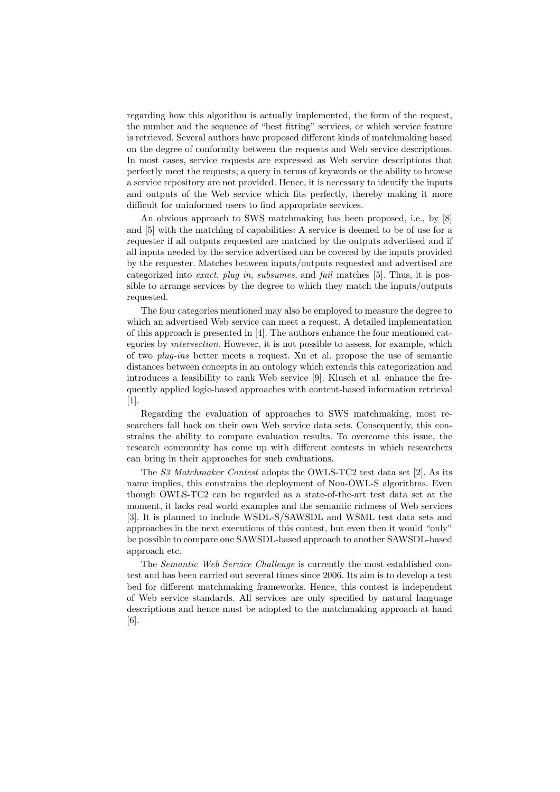regarding how this algorithm is actually implemented, the form of the request, the number and the sequence of "best fitting" services, or which service feature is retrieved. Several authors have proposed different kinds of matchmaking based on the degree of conformity between the requests and Web service descriptions. In most cases, service requests are expressed as Web service descriptions that perfectly meet the requests; a query in terms of keywords or the ability to browse a service repository are not provided. Hence, it is necessary to identify the inputs and outputs of the Web service which fits perfectly, thereby making it more difficult for uninformed users to find appropriate services.

An obvious approach to SWS matchmaking has been proposed, i.e., by [8] and [5] with the matching of capabilities: A service is deemed to be of use for a requester if all outputs requested are matched by the outputs advertised and if all inputs needed by the service advertised can be covered by the inputs provided by the requester. Matches between inputs/outputs requested and advertised are categorized into exact, plug in, subsumes, and fail matches [5]. Thus, it is possible to arrange services by the degree to which they match the inputs/outputs requested.

The four categories mentioned may also be employed to measure the degree to which an advertised Web service can meet a request. A detailed implementation of this approach is presented in [4]. The authors enhance the four mentioned categories by intersection. However, it is not possible to assess, for example, which of two plug-ins better meets a request. Xu et al. propose the use of semantic distances between concepts in an ontology which extends this categorization and introduces a feasibility to rank Web service [9]. Klusch et al. enhance the frequently applied logic-based approaches with content-based information retrieval [1].

Regarding the evaluation of approaches to SWS matchmaking, most researchers fall back on their own Web service data sets. Consequently, this constrains the ability to compare evaluation results. To overcome this issue, the research community has come up with different contests in which researchers can bring in their approaches for such evaluations.

The S3 Matchmaker Contest adopts the OWLS-TC2 test data set [2]. As its name implies, this constrains the deployment of Non-OWL-S algorithms. Even though OWLS-TC2 can be regarded as a state-of-the-art test data set at the moment, it lacks real world examples and the semantic richness of Web services [3]. It is planned to include WSDL-S/SAWSDL and WSML test data sets and approaches in the next executions of this contest, but even then it would "only" be possible to compare one SAWSDL-based approach to another SAWSDL-based approach etc.

The Semantic Web Service Challenge is currently the most established contest and has been carried out several times since 2006. Its aim is to develop a test bed for different matchmaking frameworks. Hence, this contest is independent of Web service standards. All services are only specified by natural language descriptions and hence must be adopted to the matchmaking approach at hand [6].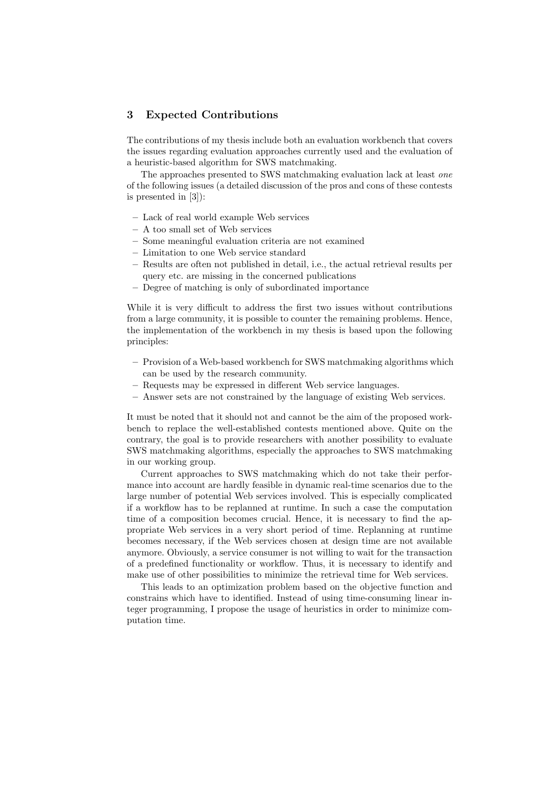## 3 Expected Contributions

The contributions of my thesis include both an evaluation workbench that covers the issues regarding evaluation approaches currently used and the evaluation of a heuristic-based algorithm for SWS matchmaking.

The approaches presented to SWS matchmaking evaluation lack at least one of the following issues (a detailed discussion of the pros and cons of these contests is presented in [3]):

- Lack of real world example Web services
- A too small set of Web services
- Some meaningful evaluation criteria are not examined
- Limitation to one Web service standard
- Results are often not published in detail, i.e., the actual retrieval results per query etc. are missing in the concerned publications
- Degree of matching is only of subordinated importance

While it is very difficult to address the first two issues without contributions from a large community, it is possible to counter the remaining problems. Hence, the implementation of the workbench in my thesis is based upon the following principles:

- Provision of a Web-based workbench for SWS matchmaking algorithms which can be used by the research community.
- Requests may be expressed in different Web service languages.
- Answer sets are not constrained by the language of existing Web services.

It must be noted that it should not and cannot be the aim of the proposed workbench to replace the well-established contests mentioned above. Quite on the contrary, the goal is to provide researchers with another possibility to evaluate SWS matchmaking algorithms, especially the approaches to SWS matchmaking in our working group.

Current approaches to SWS matchmaking which do not take their performance into account are hardly feasible in dynamic real-time scenarios due to the large number of potential Web services involved. This is especially complicated if a workflow has to be replanned at runtime. In such a case the computation time of a composition becomes crucial. Hence, it is necessary to find the appropriate Web services in a very short period of time. Replanning at runtime becomes necessary, if the Web services chosen at design time are not available anymore. Obviously, a service consumer is not willing to wait for the transaction of a predefined functionality or workflow. Thus, it is necessary to identify and make use of other possibilities to minimize the retrieval time for Web services.

This leads to an optimization problem based on the objective function and constrains which have to identified. Instead of using time-consuming linear integer programming, I propose the usage of heuristics in order to minimize computation time.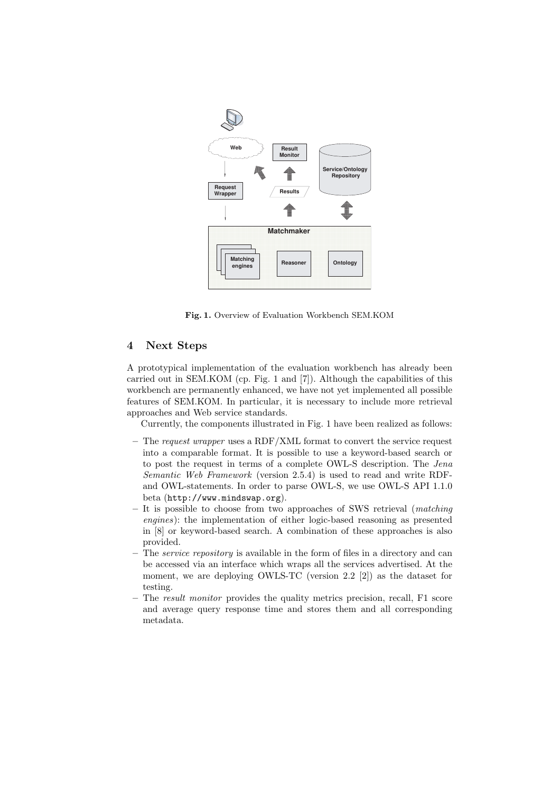

Fig. 1. Overview of Evaluation Workbench SEM.KOM

## 4 Next Steps

A prototypical implementation of the evaluation workbench has already been carried out in SEM.KOM (cp. Fig. 1 and [7]). Although the capabilities of this workbench are permanently enhanced, we have not yet implemented all possible features of SEM.KOM. In particular, it is necessary to include more retrieval approaches and Web service standards.

Currently, the components illustrated in Fig. 1 have been realized as follows:

- The request wrapper uses a RDF/XML format to convert the service request into a comparable format. It is possible to use a keyword-based search or to post the request in terms of a complete OWL-S description. The Jena Semantic Web Framework (version 2.5.4) is used to read and write RDFand OWL-statements. In order to parse OWL-S, we use OWL-S API 1.1.0 beta (http://www.mindswap.org).
- It is possible to choose from two approaches of SWS retrieval (matching engines): the implementation of either logic-based reasoning as presented in [8] or keyword-based search. A combination of these approaches is also provided.
- The *service repository* is available in the form of files in a directory and can be accessed via an interface which wraps all the services advertised. At the moment, we are deploying OWLS-TC (version 2.2 [2]) as the dataset for testing.
- The result monitor provides the quality metrics precision, recall, F1 score and average query response time and stores them and all corresponding metadata.